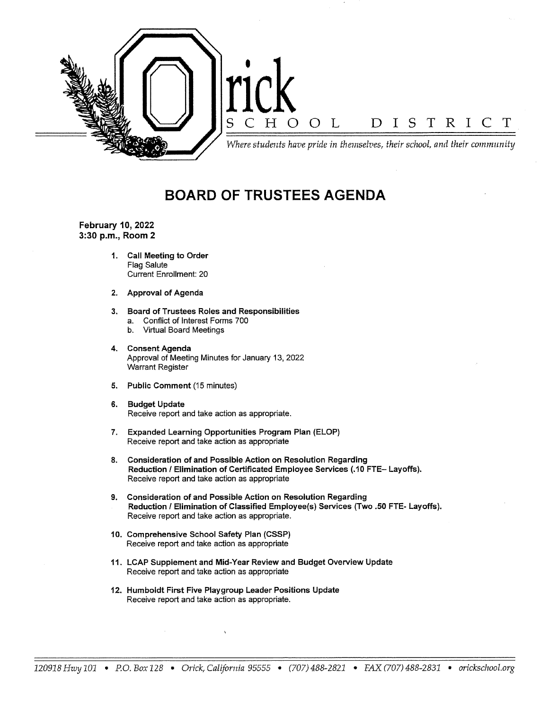

## **BOARD OF TRUSTEES AGENDA**

**February 10, 2022 3:30 p.m., Room 2** 

- **1. Call Meeting to Order**  Flag Salute Current Enrollment: 20
- **2. Approval of Agenda**
- **3. Board of Trustees Roles and Responsibilities**  a. Conflict of Interest Forms 700
	- b. Virtual Board Meetings
- **4. Consent Agenda**  Approval of Meeting Minutes for January 13, 2022 Warrant Register
- **5. Public Comment** (15 minutes)
- **6. Budget Update**  Receive report and take action as appropriate.
- 7. Expanded Learning Opportunities Program Plan (ELOP) Receive report and take action as appropriate
- **8. Consideration of and Possible Action on Resolution Regarding**  Reduction/ Elimination of Certificated Employee Services (.10 FTE- Layoffs). Receive report and take action as appropriate
- **9. Consideration of and Possible Action on Resolution Regarding Reduction/ Elimination of Classified Employee(s) Services (Two .50** FTE- **Layoffs).**  Receive report and take action as appropriate.
- **10. Comprehensive School Safety Plan (CSSP)**  Receive report and take action as appropriate
- **11. LCAP Supplement and Mid-Year Review and Budget Overview Update**  Receive report and take action as appropriate
- **12. Humboldt First Five Playgroup Leader Positions Update**  Receive report and take action as appropriate.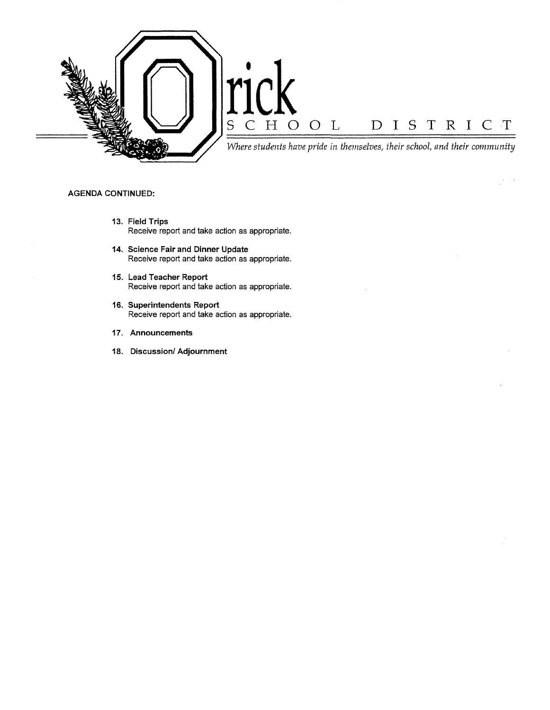

 $\frac{1}{2} \frac{1}{2} \frac{1}{2} \frac{1}{2}$ 

## **AGENDA CONTINUED:**

- **13. Field Trips**  Receive report and take action as appropriate.
- **14. Science Fair and Dinner Update**  Receive report and take action as appropriate.
- **15. Lead Teacher Report**  Receive report and take action as appropriate.
- **16. Superintendents Report**  Receive report and take action as appropriate.
- **17. Announcements**
- **18. Discussion/ Adjournment**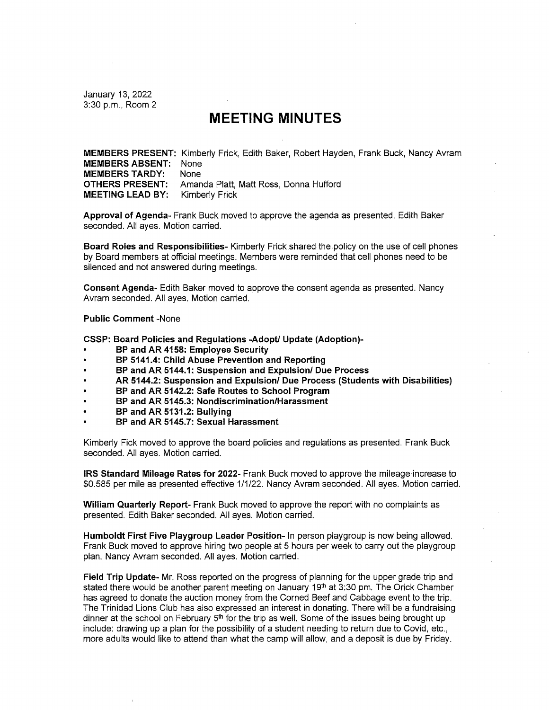January 13, 2022 3:30 p.m., Room 2

## **MEETING MINUTES**

**MEMBERS PRESENT:** Kimberly Frick, Edith Baker, Robert Hayden, Frank Buck, Nancy Avram **MEMBERS ABSENT:** None **MEMBERS TARDY:** None **OTHERS PRESENT:** Amanda Platt, Matt Ross, Donna Hufford **MEETING LEAD BY:** Kimberly Frick

**Approval of Agenda-** Frank Buck moved to approve the agenda as presented. Edith Baker seconded. All ayes. Motion carried.

**. Board Roles and Responsibilities-** Kimberly Frick.shared the policy on the use of cell phones by Board members at official meetings. Members were reminded that cell phones need to be silenced and not answered during meetings.

**Consent Agenda-** Edith Baker moved to approve the consent agenda as presented. Nancy Avram seconded. All ayes. Motion carried.

**Public Comment** -None

**CSSP: Board Policies and Regulations -Adopt/ Update (Adoption)-**

- **BP and AR 4158: Employee Security**
- **BP 5141.4: Child Abuse Prevention and Reporting**
- **BP and AR 5144.1: Suspension and Expulsion/ Due Process**
- **AR 5144.2: Suspension and Expulsion/ Due Process (Students with Disabilities)**
- **BP and AR 5142.2: Safe Routes to School Program**
- **BP and AR 5145.3: Nondiscrimination/Harassment**
- **BP and AR 5131.2: Bullying**
- **BP and AR 5145.7: Sexual Harassment**

Kimberly Fick moved to approve the board policies and regulations as presented. Frank Buck seconded. All ayes. Motion carried.

**IRS Standard Mileage Rates for 2022-** Frank Buck moved to approve the mileage increase to \$0.585 per mile as presented effective 1/1/22. Nancy Avram seconded. All ayes. Motion carried.

**William Quarterly Report-** Frank Buck moved to approve the report with no complaints as presented. Edith Baker seconded. All ayes. Motion carried.

**Humboldt First Five Playgroup Leader Position-** In person playgroup is now being allowed. Frank Buck moved to approve hiring two people at 5 hours per week to carry out the playgroup plan. Nancy Avram seconded. All ayes. Motion carried.

**Field Trip Update-** Mr. Ross reported on the progress of planning for the upper grade trip and stated there would be another parent meeting on January 19<sup>th</sup> at 3:30 pm. The Orick Chamber has agreed to donate the auction money from the Corned Beef and Cabbage event to the trip. The Trinidad Lions Club has also expressed an interest in donating. There will be a fundraising dinner at the school on February  $5<sup>th</sup>$  for the trip as well. Some of the issues being brought up include: drawing up a plan for the possibility of a student needing to return due to Covid, etc., more adults would like to attend than what the camp will allow, and a deposit is due by Friday.